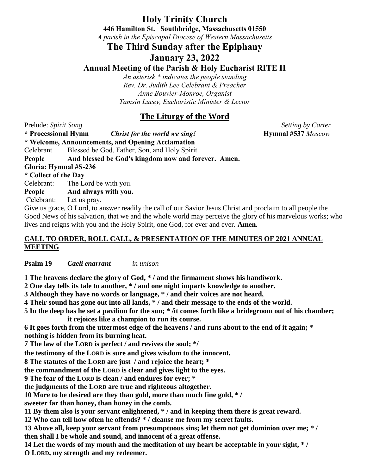# **Holy Trinity Church**

**` 446 Hamilton St. Southbridge, Massachusetts 01550** *A parish in the Episcopal Diocese of Western Massachusetts*

**The Third Sunday after the Epiphany**

**January 23, 2022**

**Annual Meeting of the Parish & Holy Eucharist RITE II**

*An asterisk \* indicates the people standing Rev. Dr. Judith Lee Celebrant & Preacher Anne Bouvier-Monroe, Organist Tamsin Lucey, Eucharistic Minister & Lector*

# **The Liturgy of the Word**

Prelude: *Spirit Song Setting by Carter*

**\* Processional Hymn** *Christ for the world we sing!* **Hymnal #537** *Moscow* **\* Welcome, Announcements, and Opening Acclamation**  Celebrant Blessed be God, Father, Son, and Holy Spirit. **People And blessed be God's kingdom now and forever. Amen. Gloria: Hymnal #S-236 \* Collect of the Day**  Celebrant: The Lord be with you. **People And always with you.** Celebrant: Let us pray.

Give us grace, O Lord, to answer readily the call of our Savior Jesus Christ and proclaim to all people the Good News of his salvation, that we and the whole world may perceive the glory of his marvelous works; who lives and reigns with you and the Holy Spirit, one God, for ever and ever. **Amen.**

### **CALL TO ORDER, ROLL CALL, & PRESENTATION OF THE MINUTES OF 2021 ANNUAL MEETING**

**Psalm 19** *Caeli enarrant in unison*

**1 The heavens declare the glory of God, \* / and the firmament shows his handiwork.**

**2 One day tells its tale to another, \* / and one night imparts knowledge to another.**

**3 Although they have no words or language, \* / and their voices are not heard,**

**4 Their sound has gone out into all lands, \* / and their message to the ends of the world.**

**5 In the deep has he set a pavilion for the sun; \* /it comes forth like a bridegroom out of his chamber; it rejoices like a champion to run its course.**

**6 It goes forth from the uttermost edge of the heavens / and runs about to the end of it again; \* nothing is hidden from its burning heat.**

**7 The law of the LORD is perfect / and revives the soul; \*/**

**the testimony of the LORD is sure and gives wisdom to the innocent.**

**8 The statutes of the LORD are just / and rejoice the heart; \***

**the commandment of the LORD is clear and gives light to the eyes.**

**9 The fear of the LORD is clean / and endures for ever; \***

**the judgments of the LORD are true and righteous altogether.**

**10 More to be desired are they than gold, more than much fine gold, \* /** 

**sweeter far than honey, than honey in the comb.**

**11 By them also is your servant enlightened, \* / and in keeping them there is great reward.**

**12 Who can tell how often he offends? \* / cleanse me from my secret faults.**

**13 Above all, keep your servant from presumptuous sins; let them not get dominion over me; \* / then shall I be whole and sound, and innocent of a great offense.**

**14 Let the words of my mouth and the meditation of my heart be acceptable in your sight, \* / O LORD, my strength and my redeemer.**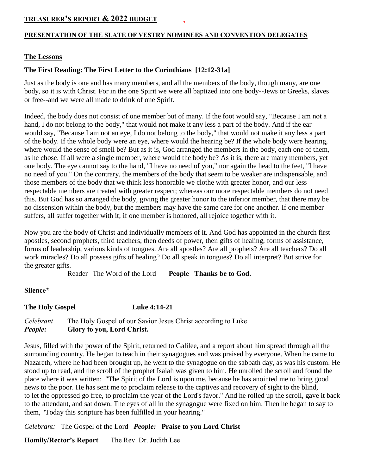# **TREASURER'S REPORT & 2022 BUDGET**

### **PRESENTATION OF THE SLATE OF VESTRY NOMINEES AND CONVENTION DELEGATES**

**`**

### **The Lessons**

### **The First Reading: The First Letter to the Corinthians [12:12-31a]**

Just as the body is one and has many members, and all the members of the body, though many, are one body, so it is with Christ. For in the one Spirit we were all baptized into one body--Jews or Greeks, slaves or free--and we were all made to drink of one Spirit.

Indeed, the body does not consist of one member but of many. If the foot would say, "Because I am not a hand, I do not belong to the body," that would not make it any less a part of the body. And if the ear would say, "Because I am not an eye, I do not belong to the body," that would not make it any less a part of the body. If the whole body were an eye, where would the hearing be? If the whole body were hearing, where would the sense of smell be? But as it is, God arranged the members in the body, each one of them, as he chose. If all were a single member, where would the body be? As it is, there are many members, yet one body. The eye cannot say to the hand, "I have no need of you," nor again the head to the feet, "I have no need of you." On the contrary, the members of the body that seem to be weaker are indispensable, and those members of the body that we think less honorable we clothe with greater honor, and our less respectable members are treated with greater respect; whereas our more respectable members do not need this. But God has so arranged the body, giving the greater honor to the inferior member, that there may be no dissension within the body, but the members may have the same care for one another. If one member suffers, all suffer together with it; if one member is honored, all rejoice together with it.

Now you are the body of Christ and individually members of it. And God has appointed in the church first apostles, second prophets, third teachers; then deeds of power, then gifts of healing, forms of assistance, forms of leadership, various kinds of tongues. Are all apostles? Are all prophets? Are all teachers? Do all work miracles? Do all possess gifts of healing? Do all speak in tongues? Do all interpret? But strive for the greater gifts.

Reader The Word of the Lord **People Thanks be to God.**

### **Silence\***

**The Holy Gospel Luke 4:14-21**

*Celebrant* The Holy Gospel of our Savior Jesus Christ according to Luke *People:* **Glory to you, Lord Christ.**

Jesus, filled with the power of the Spirit, returned to Galilee, and a report about him spread through all the surrounding country. He began to teach in their synagogues and was praised by everyone. When he came to Nazareth, where he had been brought up, he went to the synagogue on the sabbath day, as was his custom. He stood up to read, and the scroll of the prophet Isaiah was given to him. He unrolled the scroll and found the place where it was written: "The Spirit of the Lord is upon me, because he has anointed me to bring good news to the poor. He has sent me to proclaim release to the captives and recovery of sight to the blind, to let the oppressed go free, to proclaim the year of the Lord's favor." And he rolled up the scroll, gave it back to the attendant, and sat down. The eyes of all in the synagogue were fixed on him. Then he began to say to them, "Today this scripture has been fulfilled in your hearing."

*Celebrant:* The Gospel of the Lord *People:* **Praise to you Lord Christ**

**Homily/Rector's Report** The Rev. Dr. Judith Lee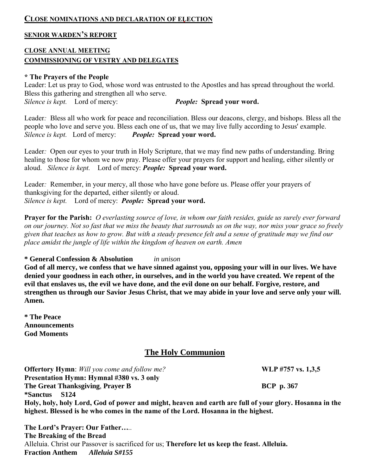### **` CLOSE NOMINATIONS AND DECLARATION OF ELECTION**

## **SENIOR WARDEN'S REPORT**

# **CLOSE ANNUAL MEETING COMMISSIONING OF VESTRY AND DELEGATES**

## **\* The Prayers of the People**

Leader: Let us pray to God, whose word was entrusted to the Apostles and has spread throughout the world. Bless this gathering and strengthen all who serve. *Silence is kept.* Lord of mercy: *People:* **Spread your word.**

Leader*:* Bless all who work for peace and reconciliation. Bless our deacons, clergy, and bishops. Bless all the people who love and serve you. Bless each one of us, that we may live fully according to Jesus' example. *Silence is kept.* Lord of mercy: *People:* **Spread your word.**

Leader*:* Open our eyes to your truth in Holy Scripture, that we may find new paths of understanding. Bring healing to those for whom we now pray. Please offer your prayers for support and healing, either silently or aloud. *Silence is kept.* Lord of mercy: *People:* **Spread your word.**

Leader*:* Remember, in your mercy, all those who have gone before us. Please offer your prayers of thanksgiving for the departed, either silently or aloud. *Silence is kept.* Lord of mercy: *People:* **Spread your word.**

**Prayer for the Parish:** *O everlasting source of love, in whom our faith resides, guide us surely ever forward on our journey. Not so fast that we miss the beauty that surrounds us on the way, nor miss your grace so freely given that teaches us how to grow. But with a steady presence felt and a sense of gratitude may we find our place amidst the jungle of life within the kingdom of heaven on earth. Amen*

**\* General Confession & Absolution** *in unison*

**God of all mercy, we confess that we have sinned against you, opposing your will in our lives. We have denied your goodness in each other, in ourselves, and in the world you have created. We repent of the evil that enslaves us, the evil we have done, and the evil done on our behalf. Forgive, restore, and strengthen us through our Savior Jesus Christ, that we may abide in your love and serve only your will. Amen.**

**\* The Peace Announcements God Moments**

# **The Holy Communion**

**Offertory Hymn**: *Will you come and follow me?* **WLP #757 vs. 1,3,5** **Presentation Hymn: Hymnal #380 vs. 3 only** The Great Thanksgiving, Prayer B BCP p. 367 **\*Sanctus S124 Holy, holy, holy Lord, God of power and might, heaven and earth are full of your glory. Hosanna in the highest. Blessed is he who comes in the name of the Lord. Hosanna in the highest.**

**The Lord's Prayer: Our Father…***..* **The Breaking of the Bread** Alleluia. Christ our Passover is sacrificed for us; **Therefore let us keep the feast. Alleluia. Fraction Anthem** *Alleluia S#155*